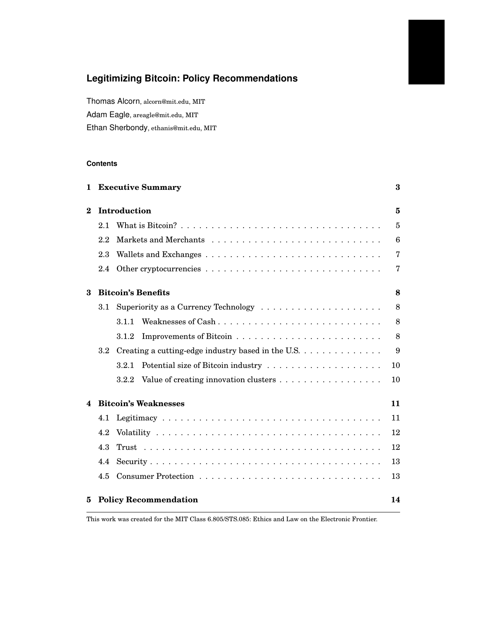# **Legitimizing Bitcoin: Policy Recommendations**

Thomas Alcorn, alcorn@mit.edu, MIT Adam Eagle, areagle@mit.edu, MIT Ethan Sherbondy, ethanis@mit.edu, MIT

# **Contents**

| 1.       | <b>Executive Summary</b><br>Introduction |                                                    |                |  |  |  |
|----------|------------------------------------------|----------------------------------------------------|----------------|--|--|--|
| $\bf{2}$ |                                          |                                                    |                |  |  |  |
|          | 2.1                                      |                                                    | $\overline{5}$ |  |  |  |
|          | 2.2                                      |                                                    | 6              |  |  |  |
|          | 2.3                                      |                                                    | $\overline{7}$ |  |  |  |
|          | 2.4                                      |                                                    | $\overline{7}$ |  |  |  |
| 3        |                                          | <b>Bitcoin's Benefits</b>                          |                |  |  |  |
|          | 3.1                                      |                                                    | 8              |  |  |  |
|          |                                          | Weaknesses of Cash<br>3.1.1                        | 8              |  |  |  |
|          |                                          | 3.1.2                                              | 8              |  |  |  |
|          | $3.2\,$                                  | Creating a cutting-edge industry based in the U.S. | 9              |  |  |  |
|          |                                          | 3.2.1                                              | 10             |  |  |  |
|          |                                          | Value of creating innovation clusters<br>3.2.2     | 10             |  |  |  |
| 4        | <b>Bitcoin's Weaknesses</b><br>11        |                                                    |                |  |  |  |
|          | 4.1                                      |                                                    | 11             |  |  |  |
|          | 4.2                                      |                                                    | 12             |  |  |  |
|          | 4.3                                      |                                                    | 12             |  |  |  |
|          | 4.4                                      |                                                    | 13             |  |  |  |
|          | 4.5                                      |                                                    | 13             |  |  |  |
| 5        |                                          | <b>Policy Recommendation</b><br>14                 |                |  |  |  |

This work was created for the MIT Class 6.805/STS.085: Ethics and Law on the Electronic Frontier.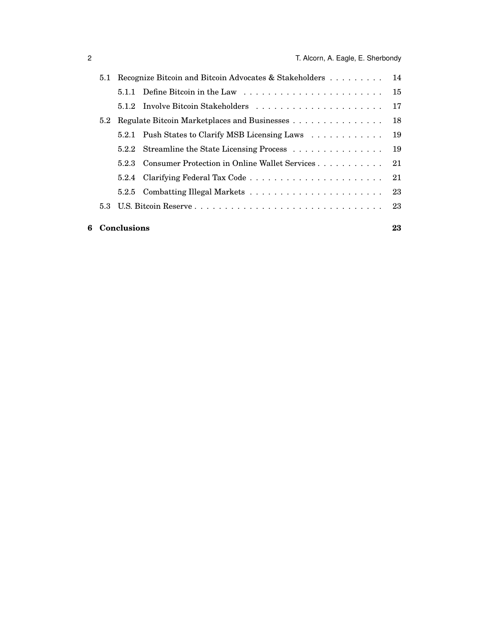|  | 6 Conclusions                                                 |                                              |                                                        |    |  |
|--|---------------------------------------------------------------|----------------------------------------------|--------------------------------------------------------|----|--|
|  |                                                               |                                              |                                                        | 23 |  |
|  |                                                               |                                              |                                                        | 23 |  |
|  |                                                               |                                              |                                                        |    |  |
|  |                                                               |                                              | 5.2.3 Consumer Protection in Online Wallet Services 21 |    |  |
|  |                                                               |                                              | 5.2.2 Streamline the State Licensing Process           | 19 |  |
|  |                                                               |                                              | 5.2.1 Push States to Clarify MSB Licensing Laws        | 19 |  |
|  | 5.2                                                           | Regulate Bitcoin Marketplaces and Businesses | 18                                                     |    |  |
|  |                                                               |                                              |                                                        | 17 |  |
|  |                                                               |                                              |                                                        |    |  |
|  | Recognize Bitcoin and Bitcoin Advocates & Stakeholders<br>5.1 |                                              |                                                        |    |  |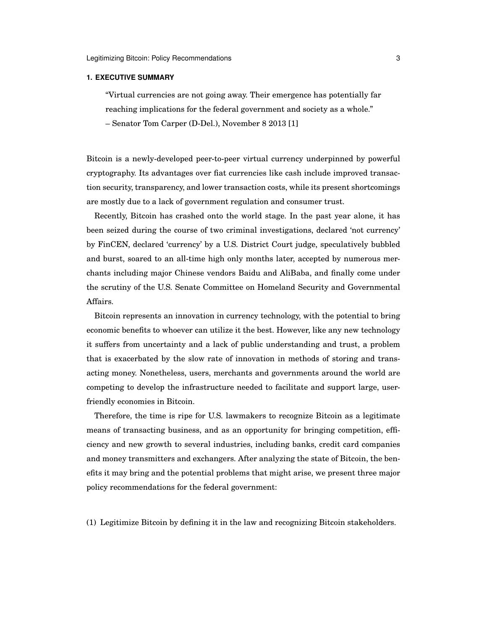## <span id="page-2-0"></span>**1. EXECUTIVE SUMMARY**

"Virtual currencies are not going away. Their emergence has potentially far reaching implications for the federal government and society as a whole." – Senator Tom Carper (D-Del.), November 8 2013 [\[1\]](#page-23-0)

Bitcoin is a newly-developed peer-to-peer virtual currency underpinned by powerful cryptography. Its advantages over fiat currencies like cash include improved transaction security, transparency, and lower transaction costs, while its present shortcomings are mostly due to a lack of government regulation and consumer trust.

Recently, Bitcoin has crashed onto the world stage. In the past year alone, it has been seized during the course of two criminal investigations, declared 'not currency' by FinCEN, declared 'currency' by a U.S. District Court judge, speculatively bubbled and burst, soared to an all-time high only months later, accepted by numerous merchants including major Chinese vendors Baidu and AliBaba, and finally come under the scrutiny of the U.S. Senate Committee on Homeland Security and Governmental Affairs.

Bitcoin represents an innovation in currency technology, with the potential to bring economic benefits to whoever can utilize it the best. However, like any new technology it suffers from uncertainty and a lack of public understanding and trust, a problem that is exacerbated by the slow rate of innovation in methods of storing and transacting money. Nonetheless, users, merchants and governments around the world are competing to develop the infrastructure needed to facilitate and support large, userfriendly economies in Bitcoin.

Therefore, the time is ripe for U.S. lawmakers to recognize Bitcoin as a legitimate means of transacting business, and as an opportunity for bringing competition, efficiency and new growth to several industries, including banks, credit card companies and money transmitters and exchangers. After analyzing the state of Bitcoin, the benefits it may bring and the potential problems that might arise, we present three major policy recommendations for the federal government:

(1) Legitimize Bitcoin by defining it in the law and recognizing Bitcoin stakeholders.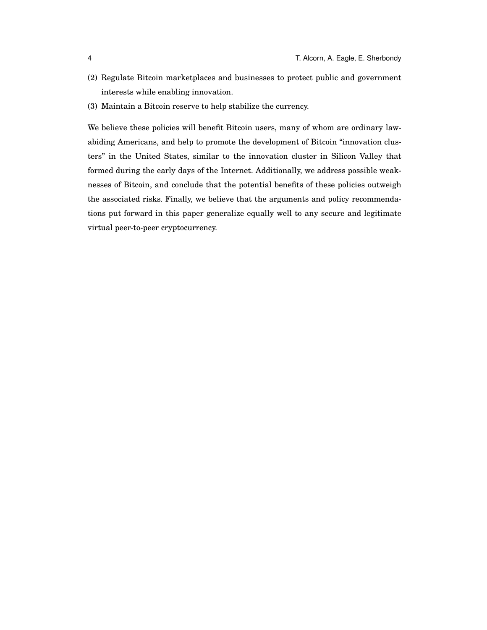- (2) Regulate Bitcoin marketplaces and businesses to protect public and government interests while enabling innovation.
- (3) Maintain a Bitcoin reserve to help stabilize the currency.

We believe these policies will benefit Bitcoin users, many of whom are ordinary lawabiding Americans, and help to promote the development of Bitcoin "innovation clusters" in the United States, similar to the innovation cluster in Silicon Valley that formed during the early days of the Internet. Additionally, we address possible weaknesses of Bitcoin, and conclude that the potential benefits of these policies outweigh the associated risks. Finally, we believe that the arguments and policy recommendations put forward in this paper generalize equally well to any secure and legitimate virtual peer-to-peer cryptocurrency.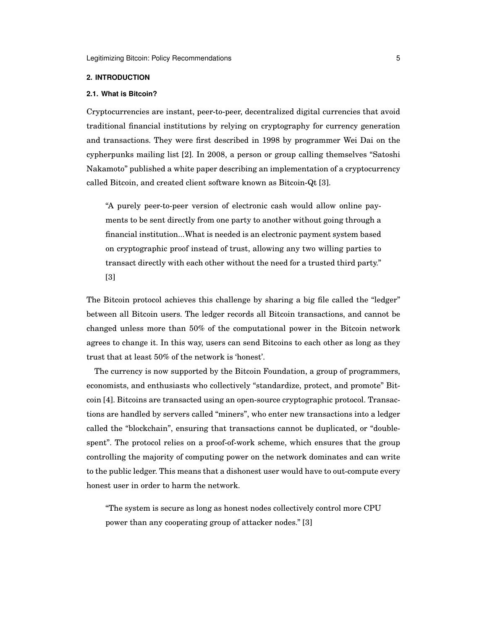## <span id="page-4-0"></span>**2. INTRODUCTION**

#### <span id="page-4-1"></span>**2.1. What is Bitcoin?**

Cryptocurrencies are instant, peer-to-peer, decentralized digital currencies that avoid traditional financial institutions by relying on cryptography for currency generation and transactions. They were first described in 1998 by programmer Wei Dai on the cypherpunks mailing list [\[2\]](#page-23-1). In 2008, a person or group calling themselves "Satoshi Nakamoto" published a white paper describing an implementation of a cryptocurrency called Bitcoin, and created client software known as Bitcoin-Qt [\[3\]](#page-23-2).

"A purely peer-to-peer version of electronic cash would allow online payments to be sent directly from one party to another without going through a financial institution...What is needed is an electronic payment system based on cryptographic proof instead of trust, allowing any two willing parties to transact directly with each other without the need for a trusted third party." [\[3\]](#page-23-2)

The Bitcoin protocol achieves this challenge by sharing a big file called the "ledger" between all Bitcoin users. The ledger records all Bitcoin transactions, and cannot be changed unless more than 50% of the computational power in the Bitcoin network agrees to change it. In this way, users can send Bitcoins to each other as long as they trust that at least 50% of the network is 'honest'.

The currency is now supported by the Bitcoin Foundation, a group of programmers, economists, and enthusiasts who collectively "standardize, protect, and promote" Bitcoin [\[4\]](#page-23-3). Bitcoins are transacted using an open-source cryptographic protocol. Transactions are handled by servers called "miners", who enter new transactions into a ledger called the "blockchain", ensuring that transactions cannot be duplicated, or "doublespent". The protocol relies on a proof-of-work scheme, which ensures that the group controlling the majority of computing power on the network dominates and can write to the public ledger. This means that a dishonest user would have to out-compute every honest user in order to harm the network.

"The system is secure as long as honest nodes collectively control more CPU power than any cooperating group of attacker nodes." [\[3\]](#page-23-2)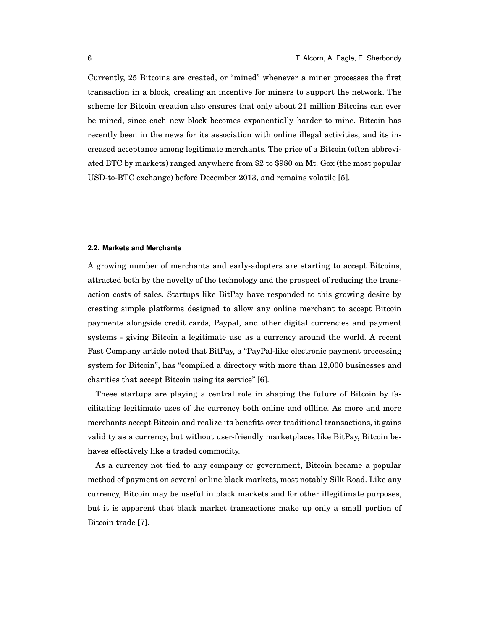Currently, 25 Bitcoins are created, or "mined" whenever a miner processes the first transaction in a block, creating an incentive for miners to support the network. The scheme for Bitcoin creation also ensures that only about 21 million Bitcoins can ever be mined, since each new block becomes exponentially harder to mine. Bitcoin has recently been in the news for its association with online illegal activities, and its increased acceptance among legitimate merchants. The price of a Bitcoin (often abbreviated BTC by markets) ranged anywhere from \$2 to \$980 on Mt. Gox (the most popular USD-to-BTC exchange) before December 2013, and remains volatile [\[5\]](#page-23-4).

## <span id="page-5-0"></span>**2.2. Markets and Merchants**

A growing number of merchants and early-adopters are starting to accept Bitcoins, attracted both by the novelty of the technology and the prospect of reducing the transaction costs of sales. Startups like BitPay have responded to this growing desire by creating simple platforms designed to allow any online merchant to accept Bitcoin payments alongside credit cards, Paypal, and other digital currencies and payment systems - giving Bitcoin a legitimate use as a currency around the world. A recent Fast Company article noted that BitPay, a "PayPal-like electronic payment processing system for Bitcoin", has "compiled a directory with more than 12,000 businesses and charities that accept Bitcoin using its service" [\[6\]](#page-23-5).

These startups are playing a central role in shaping the future of Bitcoin by facilitating legitimate uses of the currency both online and offline. As more and more merchants accept Bitcoin and realize its benefits over traditional transactions, it gains validity as a currency, but without user-friendly marketplaces like BitPay, Bitcoin behaves effectively like a traded commodity.

As a currency not tied to any company or government, Bitcoin became a popular method of payment on several online black markets, most notably Silk Road. Like any currency, Bitcoin may be useful in black markets and for other illegitimate purposes, but it is apparent that black market transactions make up only a small portion of Bitcoin trade [\[7\]](#page-23-6).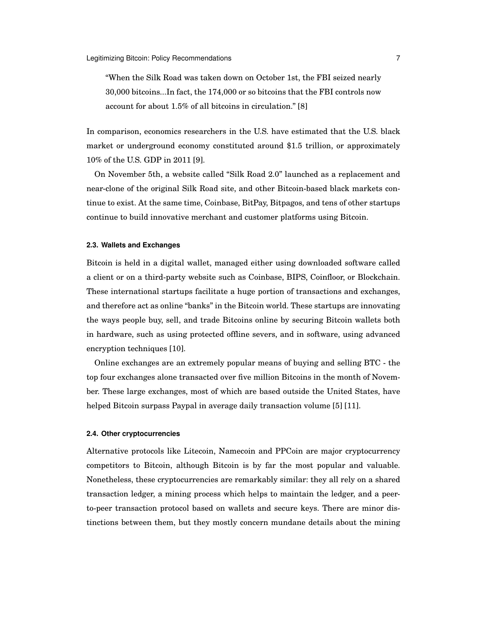"When the Silk Road was taken down on October 1st, the FBI seized nearly 30,000 bitcoins...In fact, the 174,000 or so bitcoins that the FBI controls now account for about 1.5% of all bitcoins in circulation." [\[8\]](#page-23-7)

In comparison, economics researchers in the U.S. have estimated that the U.S. black market or underground economy constituted around \$1.5 trillion, or approximately 10% of the U.S. GDP in 2011 [\[9\]](#page-23-8).

On November 5th, a website called "Silk Road 2.0" launched as a replacement and near-clone of the original Silk Road site, and other Bitcoin-based black markets continue to exist. At the same time, Coinbase, BitPay, Bitpagos, and tens of other startups continue to build innovative merchant and customer platforms using Bitcoin.

# <span id="page-6-0"></span>**2.3. Wallets and Exchanges**

Bitcoin is held in a digital wallet, managed either using downloaded software called a client or on a third-party website such as Coinbase, BIPS, Coinfloor, or Blockchain. These international startups facilitate a huge portion of transactions and exchanges, and therefore act as online "banks" in the Bitcoin world. These startups are innovating the ways people buy, sell, and trade Bitcoins online by securing Bitcoin wallets both in hardware, such as using protected offline severs, and in software, using advanced encryption techniques [\[10\]](#page-23-9).

Online exchanges are an extremely popular means of buying and selling BTC - the top four exchanges alone transacted over five million Bitcoins in the month of November. These large exchanges, most of which are based outside the United States, have helped Bitcoin surpass Paypal in average daily transaction volume [\[5\]](#page-23-4) [\[11\]](#page-23-10).

## <span id="page-6-1"></span>**2.4. Other cryptocurrencies**

Alternative protocols like Litecoin, Namecoin and PPCoin are major cryptocurrency competitors to Bitcoin, although Bitcoin is by far the most popular and valuable. Nonetheless, these cryptocurrencies are remarkably similar: they all rely on a shared transaction ledger, a mining process which helps to maintain the ledger, and a peerto-peer transaction protocol based on wallets and secure keys. There are minor distinctions between them, but they mostly concern mundane details about the mining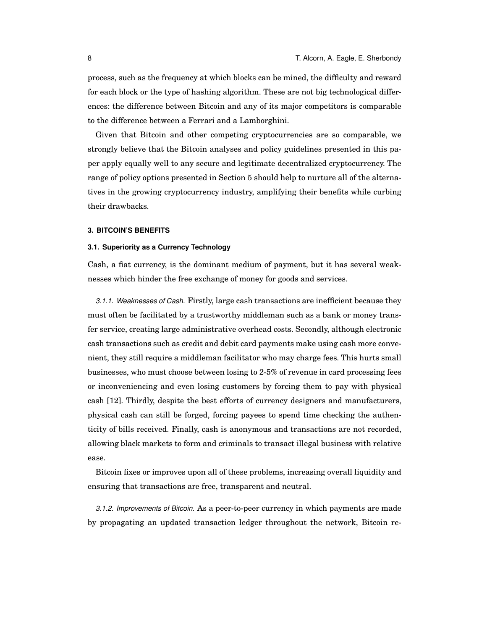process, such as the frequency at which blocks can be mined, the difficulty and reward for each block or the type of hashing algorithm. These are not big technological differences: the difference between Bitcoin and any of its major competitors is comparable to the difference between a Ferrari and a Lamborghini.

Given that Bitcoin and other competing cryptocurrencies are so comparable, we strongly believe that the Bitcoin analyses and policy guidelines presented in this paper apply equally well to any secure and legitimate decentralized cryptocurrency. The range of policy options presented in Section [5](#page-13-0) should help to nurture all of the alternatives in the growing cryptocurrency industry, amplifying their benefits while curbing their drawbacks.

#### <span id="page-7-0"></span>**3. BITCOIN'S BENEFITS**

#### <span id="page-7-1"></span>**3.1. Superiority as a Currency Technology**

Cash, a fiat currency, is the dominant medium of payment, but it has several weaknesses which hinder the free exchange of money for goods and services.

<span id="page-7-2"></span>*3.1.1. Weaknesses of Cash.* Firstly, large cash transactions are inefficient because they must often be facilitated by a trustworthy middleman such as a bank or money transfer service, creating large administrative overhead costs. Secondly, although electronic cash transactions such as credit and debit card payments make using cash more convenient, they still require a middleman facilitator who may charge fees. This hurts small businesses, who must choose between losing to 2-5% of revenue in card processing fees or inconveniencing and even losing customers by forcing them to pay with physical cash [\[12\]](#page-23-11). Thirdly, despite the best efforts of currency designers and manufacturers, physical cash can still be forged, forcing payees to spend time checking the authenticity of bills received. Finally, cash is anonymous and transactions are not recorded, allowing black markets to form and criminals to transact illegal business with relative ease.

Bitcoin fixes or improves upon all of these problems, increasing overall liquidity and ensuring that transactions are free, transparent and neutral.

<span id="page-7-3"></span>*3.1.2. Improvements of Bitcoin.* As a peer-to-peer currency in which payments are made by propagating an updated transaction ledger throughout the network, Bitcoin re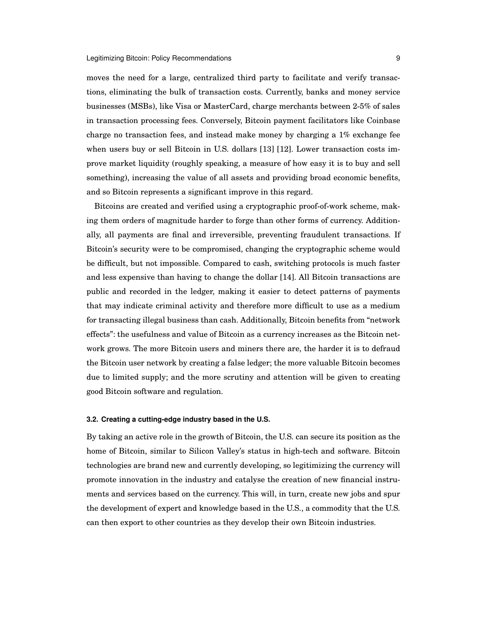moves the need for a large, centralized third party to facilitate and verify transactions, eliminating the bulk of transaction costs. Currently, banks and money service businesses (MSBs), like Visa or MasterCard, charge merchants between 2-5% of sales in transaction processing fees. Conversely, Bitcoin payment facilitators like Coinbase charge no transaction fees, and instead make money by charging a 1% exchange fee when users buy or sell Bitcoin in U.S. dollars [\[13\]](#page-23-12) [\[12\]](#page-23-11). Lower transaction costs improve market liquidity (roughly speaking, a measure of how easy it is to buy and sell something), increasing the value of all assets and providing broad economic benefits, and so Bitcoin represents a significant improve in this regard.

Bitcoins are created and verified using a cryptographic proof-of-work scheme, making them orders of magnitude harder to forge than other forms of currency. Additionally, all payments are final and irreversible, preventing fraudulent transactions. If Bitcoin's security were to be compromised, changing the cryptographic scheme would be difficult, but not impossible. Compared to cash, switching protocols is much faster and less expensive than having to change the dollar [\[14\]](#page-23-13). All Bitcoin transactions are public and recorded in the ledger, making it easier to detect patterns of payments that may indicate criminal activity and therefore more difficult to use as a medium for transacting illegal business than cash. Additionally, Bitcoin benefits from "network effects": the usefulness and value of Bitcoin as a currency increases as the Bitcoin network grows. The more Bitcoin users and miners there are, the harder it is to defraud the Bitcoin user network by creating a false ledger; the more valuable Bitcoin becomes due to limited supply; and the more scrutiny and attention will be given to creating good Bitcoin software and regulation.

# <span id="page-8-0"></span>**3.2. Creating a cutting-edge industry based in the U.S.**

By taking an active role in the growth of Bitcoin, the U.S. can secure its position as the home of Bitcoin, similar to Silicon Valley's status in high-tech and software. Bitcoin technologies are brand new and currently developing, so legitimizing the currency will promote innovation in the industry and catalyse the creation of new financial instruments and services based on the currency. This will, in turn, create new jobs and spur the development of expert and knowledge based in the U.S., a commodity that the U.S. can then export to other countries as they develop their own Bitcoin industries.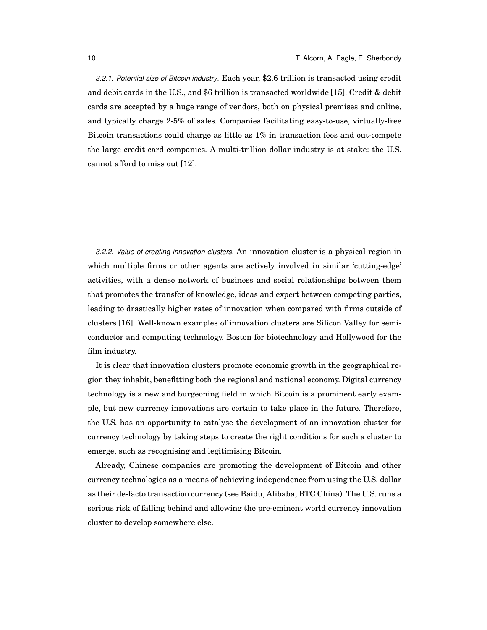<span id="page-9-0"></span>*3.2.1. Potential size of Bitcoin industry.* Each year, \$2.6 trillion is transacted using credit and debit cards in the U.S., and \$6 trillion is transacted worldwide [\[15\]](#page-23-14). Credit & debit cards are accepted by a huge range of vendors, both on physical premises and online, and typically charge 2-5% of sales. Companies facilitating easy-to-use, virtually-free Bitcoin transactions could charge as little as 1% in transaction fees and out-compete the large credit card companies. A multi-trillion dollar industry is at stake: the U.S. cannot afford to miss out [\[12\]](#page-23-11).

<span id="page-9-1"></span>*3.2.2. Value of creating innovation clusters.* An innovation cluster is a physical region in which multiple firms or other agents are actively involved in similar 'cutting-edge' activities, with a dense network of business and social relationships between them that promotes the transfer of knowledge, ideas and expert between competing parties, leading to drastically higher rates of innovation when compared with firms outside of clusters [\[16\]](#page-23-15). Well-known examples of innovation clusters are Silicon Valley for semiconductor and computing technology, Boston for biotechnology and Hollywood for the film industry.

It is clear that innovation clusters promote economic growth in the geographical region they inhabit, benefitting both the regional and national economy. Digital currency technology is a new and burgeoning field in which Bitcoin is a prominent early example, but new currency innovations are certain to take place in the future. Therefore, the U.S. has an opportunity to catalyse the development of an innovation cluster for currency technology by taking steps to create the right conditions for such a cluster to emerge, such as recognising and legitimising Bitcoin.

Already, Chinese companies are promoting the development of Bitcoin and other currency technologies as a means of achieving independence from using the U.S. dollar as their de-facto transaction currency (see Baidu, Alibaba, BTC China). The U.S. runs a serious risk of falling behind and allowing the pre-eminent world currency innovation cluster to develop somewhere else.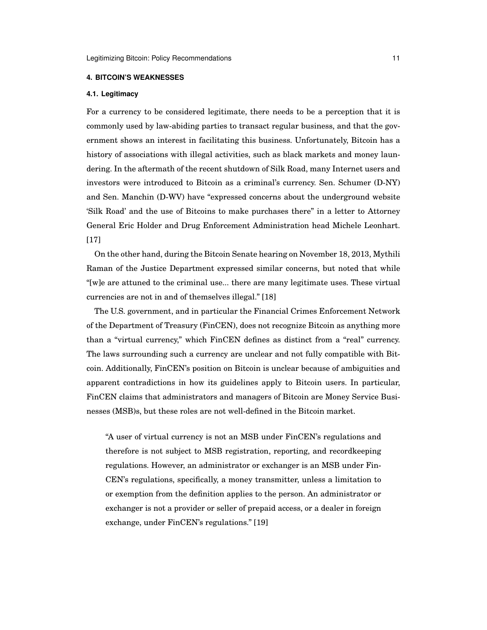## <span id="page-10-0"></span>**4. BITCOIN'S WEAKNESSES**

## <span id="page-10-1"></span>**4.1. Legitimacy**

For a currency to be considered legitimate, there needs to be a perception that it is commonly used by law-abiding parties to transact regular business, and that the government shows an interest in facilitating this business. Unfortunately, Bitcoin has a history of associations with illegal activities, such as black markets and money laundering. In the aftermath of the recent shutdown of Silk Road, many Internet users and investors were introduced to Bitcoin as a criminal's currency. Sen. Schumer (D-NY) and Sen. Manchin (D-WV) have "expressed concerns about the underground website 'Silk Road' and the use of Bitcoins to make purchases there" in a letter to Attorney General Eric Holder and Drug Enforcement Administration head Michele Leonhart. [\[17\]](#page-23-16)

On the other hand, during the Bitcoin Senate hearing on November 18, 2013, Mythili Raman of the Justice Department expressed similar concerns, but noted that while "[w]e are attuned to the criminal use... there are many legitimate uses. These virtual currencies are not in and of themselves illegal." [\[18\]](#page-24-0)

The U.S. government, and in particular the Financial Crimes Enforcement Network of the Department of Treasury (FinCEN), does not recognize Bitcoin as anything more than a "virtual currency," which FinCEN defines as distinct from a "real" currency. The laws surrounding such a currency are unclear and not fully compatible with Bitcoin. Additionally, FinCEN's position on Bitcoin is unclear because of ambiguities and apparent contradictions in how its guidelines apply to Bitcoin users. In particular, FinCEN claims that administrators and managers of Bitcoin are Money Service Businesses (MSB)s, but these roles are not well-defined in the Bitcoin market.

"A user of virtual currency is not an MSB under FinCEN's regulations and therefore is not subject to MSB registration, reporting, and recordkeeping regulations. However, an administrator or exchanger is an MSB under Fin-CEN's regulations, specifically, a money transmitter, unless a limitation to or exemption from the definition applies to the person. An administrator or exchanger is not a provider or seller of prepaid access, or a dealer in foreign exchange, under FinCEN's regulations." [\[19\]](#page-24-1)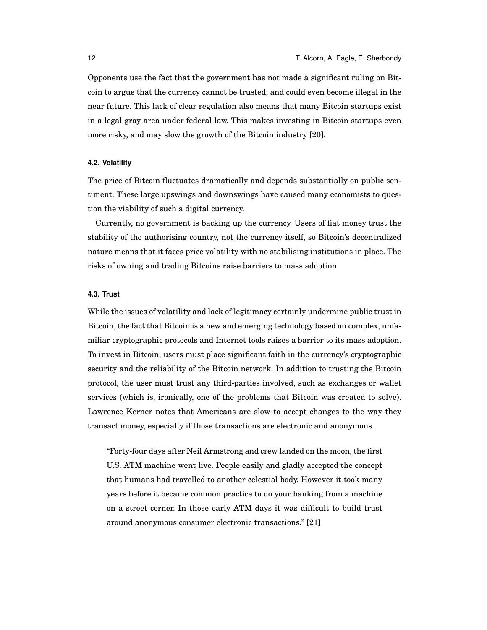Opponents use the fact that the government has not made a significant ruling on Bitcoin to argue that the currency cannot be trusted, and could even become illegal in the near future. This lack of clear regulation also means that many Bitcoin startups exist in a legal gray area under federal law. This makes investing in Bitcoin startups even more risky, and may slow the growth of the Bitcoin industry [\[20\]](#page-24-2).

# <span id="page-11-0"></span>**4.2. Volatility**

The price of Bitcoin fluctuates dramatically and depends substantially on public sentiment. These large upswings and downswings have caused many economists to question the viability of such a digital currency.

Currently, no government is backing up the currency. Users of fiat money trust the stability of the authorising country, not the currency itself, so Bitcoin's decentralized nature means that it faces price volatility with no stabilising institutions in place. The risks of owning and trading Bitcoins raise barriers to mass adoption.

# <span id="page-11-1"></span>**4.3. Trust**

While the issues of volatility and lack of legitimacy certainly undermine public trust in Bitcoin, the fact that Bitcoin is a new and emerging technology based on complex, unfamiliar cryptographic protocols and Internet tools raises a barrier to its mass adoption. To invest in Bitcoin, users must place significant faith in the currency's cryptographic security and the reliability of the Bitcoin network. In addition to trusting the Bitcoin protocol, the user must trust any third-parties involved, such as exchanges or wallet services (which is, ironically, one of the problems that Bitcoin was created to solve). Lawrence Kerner notes that Americans are slow to accept changes to the way they transact money, especially if those transactions are electronic and anonymous.

"Forty-four days after Neil Armstrong and crew landed on the moon, the first U.S. ATM machine went live. People easily and gladly accepted the concept that humans had travelled to another celestial body. However it took many years before it became common practice to do your banking from a machine on a street corner. In those early ATM days it was difficult to build trust around anonymous consumer electronic transactions." [\[21\]](#page-24-3)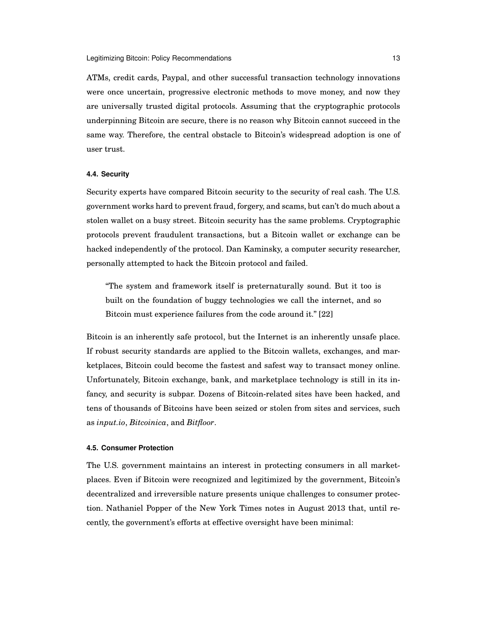ATMs, credit cards, Paypal, and other successful transaction technology innovations were once uncertain, progressive electronic methods to move money, and now they are universally trusted digital protocols. Assuming that the cryptographic protocols underpinning Bitcoin are secure, there is no reason why Bitcoin cannot succeed in the same way. Therefore, the central obstacle to Bitcoin's widespread adoption is one of user trust.

## <span id="page-12-0"></span>**4.4. Security**

Security experts have compared Bitcoin security to the security of real cash. The U.S. government works hard to prevent fraud, forgery, and scams, but can't do much about a stolen wallet on a busy street. Bitcoin security has the same problems. Cryptographic protocols prevent fraudulent transactions, but a Bitcoin wallet or exchange can be hacked independently of the protocol. Dan Kaminsky, a computer security researcher, personally attempted to hack the Bitcoin protocol and failed.

"The system and framework itself is preternaturally sound. But it too is built on the foundation of buggy technologies we call the internet, and so Bitcoin must experience failures from the code around it." [\[22\]](#page-24-4)

Bitcoin is an inherently safe protocol, but the Internet is an inherently unsafe place. If robust security standards are applied to the Bitcoin wallets, exchanges, and marketplaces, Bitcoin could become the fastest and safest way to transact money online. Unfortunately, Bitcoin exchange, bank, and marketplace technology is still in its infancy, and security is subpar. Dozens of Bitcoin-related sites have been hacked, and tens of thousands of Bitcoins have been seized or stolen from sites and services, such as *input.io*, *Bitcoinica*, and *Bitfloor*.

## <span id="page-12-1"></span>**4.5. Consumer Protection**

The U.S. government maintains an interest in protecting consumers in all marketplaces. Even if Bitcoin were recognized and legitimized by the government, Bitcoin's decentralized and irreversible nature presents unique challenges to consumer protection. Nathaniel Popper of the New York Times notes in August 2013 that, until recently, the government's efforts at effective oversight have been minimal: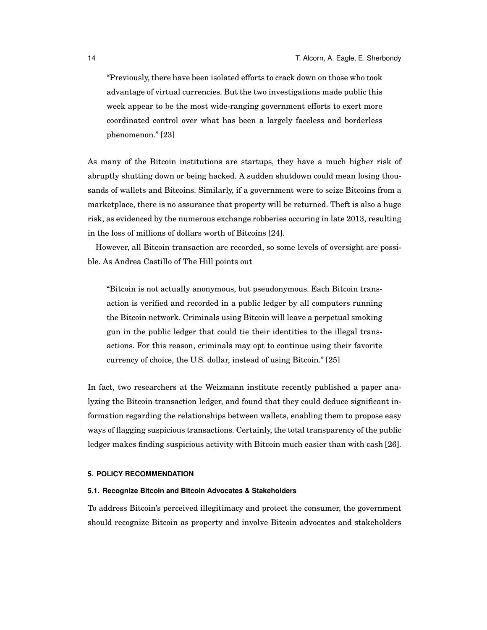"Previously, there have been isolated efforts to crack down on those who took advantage of virtual currencies. But the two investigations made public this week appear to be the most wide-ranging government efforts to exert more coordinated control over what has been a largely faceless and borderless phenomenon." [\[23\]](#page-24-5)

As many of the Bitcoin institutions are startups, they have a much higher risk of abruptly shutting down or being hacked. A sudden shutdown could mean losing thousands of wallets and Bitcoins. Similarly, if a government were to seize Bitcoins from a marketplace, there is no assurance that property will be returned. Theft is also a huge risk, as evidenced by the numerous exchange robberies occuring in late 2013, resulting in the loss of millions of dollars worth of Bitcoins [\[24\]](#page-24-6).

However, all Bitcoin transaction are recorded, so some levels of oversight are possible. As Andrea Castillo of The Hill points out

"Bitcoin is not actually anonymous, but pseudonymous. Each Bitcoin transaction is verified and recorded in a public ledger by all computers running the Bitcoin network. Criminals using Bitcoin will leave a perpetual smoking gun in the public ledger that could tie their identities to the illegal transactions. For this reason, criminals may opt to continue using their favorite currency of choice, the U.S. dollar, instead of using Bitcoin." [\[25\]](#page-24-7)

In fact, two researchers at the Weizmann institute recently published a paper analyzing the Bitcoin transaction ledger, and found that they could deduce significant information regarding the relationships between wallets, enabling them to propose easy ways of flagging suspicious transactions. Certainly, the total transparency of the public ledger makes finding suspicious activity with Bitcoin much easier than with cash [\[26\]](#page-24-8).

## <span id="page-13-0"></span>**5. POLICY RECOMMENDATION**

## <span id="page-13-1"></span>**5.1. Recognize Bitcoin and Bitcoin Advocates & Stakeholders**

To address Bitcoin's perceived illegitimacy and protect the consumer, the government should recognize Bitcoin as property and involve Bitcoin advocates and stakeholders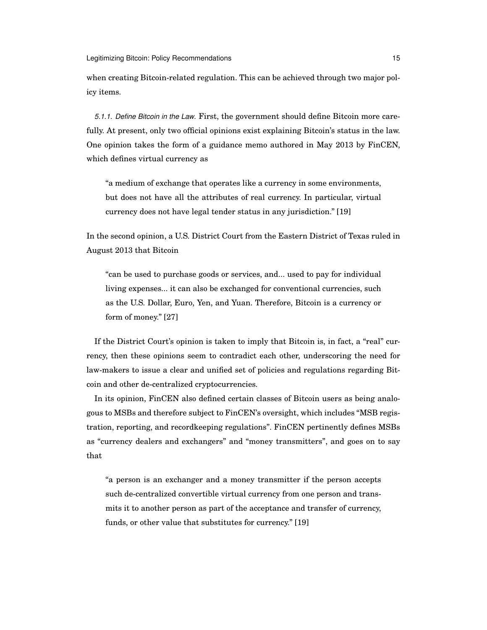when creating Bitcoin-related regulation. This can be achieved through two major policy items.

<span id="page-14-0"></span>*5.1.1. Define Bitcoin in the Law.* First, the government should define Bitcoin more carefully. At present, only two official opinions exist explaining Bitcoin's status in the law. One opinion takes the form of a guidance memo authored in May 2013 by FinCEN, which defines virtual currency as

"a medium of exchange that operates like a currency in some environments, but does not have all the attributes of real currency. In particular, virtual currency does not have legal tender status in any jurisdiction." [\[19\]](#page-24-1)

In the second opinion, a U.S. District Court from the Eastern District of Texas ruled in August 2013 that Bitcoin

"can be used to purchase goods or services, and... used to pay for individual living expenses... it can also be exchanged for conventional currencies, such as the U.S. Dollar, Euro, Yen, and Yuan. Therefore, Bitcoin is a currency or form of money." [\[27\]](#page-24-9)

If the District Court's opinion is taken to imply that Bitcoin is, in fact, a "real" currency, then these opinions seem to contradict each other, underscoring the need for law-makers to issue a clear and unified set of policies and regulations regarding Bitcoin and other de-centralized cryptocurrencies.

In its opinion, FinCEN also defined certain classes of Bitcoin users as being analogous to MSBs and therefore subject to FinCEN's oversight, which includes "MSB registration, reporting, and recordkeeping regulations". FinCEN pertinently defines MSBs as "currency dealers and exchangers" and "money transmitters", and goes on to say that

"a person is an exchanger and a money transmitter if the person accepts such de-centralized convertible virtual currency from one person and transmits it to another person as part of the acceptance and transfer of currency, funds, or other value that substitutes for currency." [\[19\]](#page-24-1)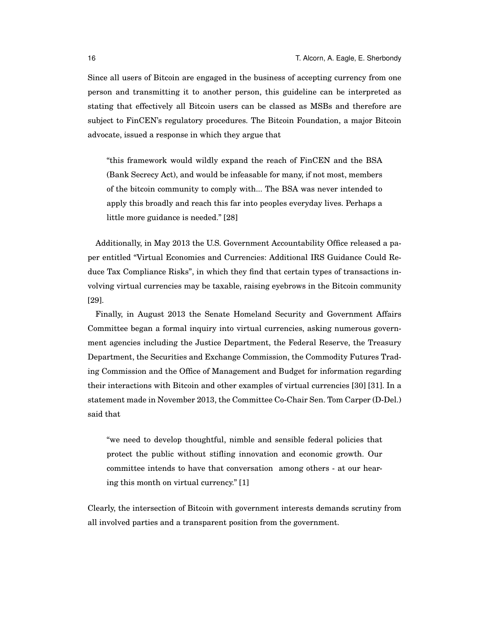Since all users of Bitcoin are engaged in the business of accepting currency from one person and transmitting it to another person, this guideline can be interpreted as stating that effectively all Bitcoin users can be classed as MSBs and therefore are subject to FinCEN's regulatory procedures. The Bitcoin Foundation, a major Bitcoin advocate, issued a response in which they argue that

"this framework would wildly expand the reach of FinCEN and the BSA (Bank Secrecy Act), and would be infeasable for many, if not most, members of the bitcoin community to comply with... The BSA was never intended to apply this broadly and reach this far into peoples everyday lives. Perhaps a little more guidance is needed." [\[28\]](#page-24-10)

Additionally, in May 2013 the U.S. Government Accountability Office released a paper entitled "Virtual Economies and Currencies: Additional IRS Guidance Could Reduce Tax Compliance Risks", in which they find that certain types of transactions involving virtual currencies may be taxable, raising eyebrows in the Bitcoin community [\[29\]](#page-24-11).

Finally, in August 2013 the Senate Homeland Security and Government Affairs Committee began a formal inquiry into virtual currencies, asking numerous government agencies including the Justice Department, the Federal Reserve, the Treasury Department, the Securities and Exchange Commission, the Commodity Futures Trading Commission and the Office of Management and Budget for information regarding their interactions with Bitcoin and other examples of virtual currencies [\[30\]](#page-24-12) [\[31\]](#page-24-13). In a statement made in November 2013, the Committee Co-Chair Sen. Tom Carper (D-Del.) said that

"we need to develop thoughtful, nimble and sensible federal policies that protect the public without stifling innovation and economic growth. Our committee intends to have that conversation among others - at our hearing this month on virtual currency." [\[1\]](#page-23-0)

Clearly, the intersection of Bitcoin with government interests demands scrutiny from all involved parties and a transparent position from the government.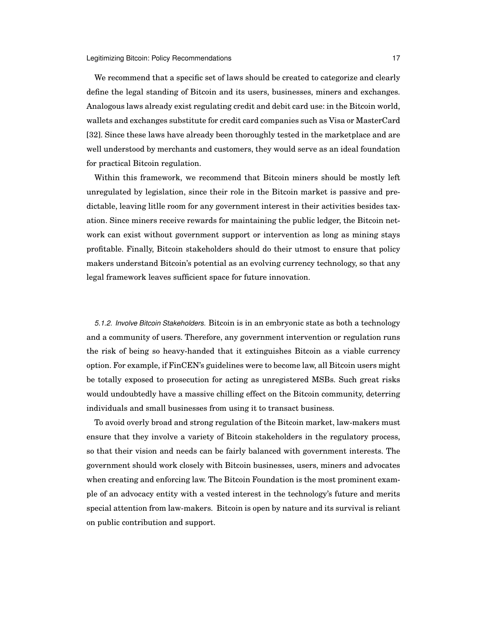We recommend that a specific set of laws should be created to categorize and clearly define the legal standing of Bitcoin and its users, businesses, miners and exchanges. Analogous laws already exist regulating credit and debit card use: in the Bitcoin world, wallets and exchanges substitute for credit card companies such as Visa or MasterCard [\[32\]](#page-24-14). Since these laws have already been thoroughly tested in the marketplace and are well understood by merchants and customers, they would serve as an ideal foundation for practical Bitcoin regulation.

Within this framework, we recommend that Bitcoin miners should be mostly left unregulated by legislation, since their role in the Bitcoin market is passive and predictable, leaving litlle room for any government interest in their activities besides taxation. Since miners receive rewards for maintaining the public ledger, the Bitcoin network can exist without government support or intervention as long as mining stays profitable. Finally, Bitcoin stakeholders should do their utmost to ensure that policy makers understand Bitcoin's potential as an evolving currency technology, so that any legal framework leaves sufficient space for future innovation.

<span id="page-16-0"></span>*5.1.2. Involve Bitcoin Stakeholders.* Bitcoin is in an embryonic state as both a technology and a community of users. Therefore, any government intervention or regulation runs the risk of being so heavy-handed that it extinguishes Bitcoin as a viable currency option. For example, if FinCEN's guidelines were to become law, all Bitcoin users might be totally exposed to prosecution for acting as unregistered MSBs. Such great risks would undoubtedly have a massive chilling effect on the Bitcoin community, deterring individuals and small businesses from using it to transact business.

To avoid overly broad and strong regulation of the Bitcoin market, law-makers must ensure that they involve a variety of Bitcoin stakeholders in the regulatory process, so that their vision and needs can be fairly balanced with government interests. The government should work closely with Bitcoin businesses, users, miners and advocates when creating and enforcing law. The Bitcoin Foundation is the most prominent example of an advocacy entity with a vested interest in the technology's future and merits special attention from law-makers. Bitcoin is open by nature and its survival is reliant on public contribution and support.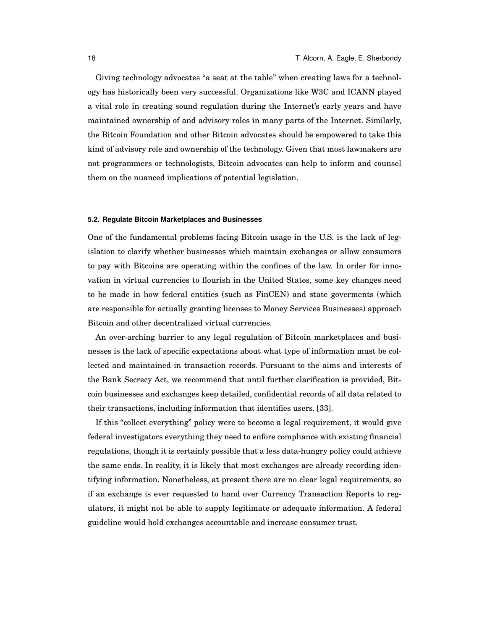Giving technology advocates "a seat at the table" when creating laws for a technology has historically been very successful. Organizations like W3C and ICANN played a vital role in creating sound regulation during the Internet's early years and have maintained ownership of and advisory roles in many parts of the Internet. Similarly, the Bitcoin Foundation and other Bitcoin advocates should be empowered to take this kind of advisory role and ownership of the technology. Given that most lawmakers are not programmers or technologists, Bitcoin advocates can help to inform and counsel them on the nuanced implications of potential legislation.

## <span id="page-17-0"></span>**5.2. Regulate Bitcoin Marketplaces and Businesses**

One of the fundamental problems facing Bitcoin usage in the U.S. is the lack of legislation to clarify whether businesses which maintain exchanges or allow consumers to pay with Bitcoins are operating within the confines of the law. In order for innovation in virtual currencies to flourish in the United States, some key changes need to be made in how federal entities (such as FinCEN) and state goverments (which are responsible for actually granting licenses to Money Services Businesses) approach Bitcoin and other decentralized virtual currencies.

An over-arching barrier to any legal regulation of Bitcoin marketplaces and businesses is the lack of specific expectations about what type of information must be collected and maintained in transaction records. Pursuant to the aims and interests of the Bank Secrecy Act, we recommend that until further clarification is provided, Bitcoin businesses and exchanges keep detailed, confidential records of all data related to their transactions, including information that identifies users. [\[33\]](#page-24-15).

If this "collect everything" policy were to become a legal requirement, it would give federal investigators everything they need to enfore compliance with existing financial regulations, though it is certainly possible that a less data-hungry policy could achieve the same ends. In reality, it is likely that most exchanges are already recording identifying information. Nonetheless, at present there are no clear legal requirements, so if an exchange is ever requested to hand over Currency Transaction Reports to regulators, it might not be able to supply legitimate or adequate information. A federal guideline would hold exchanges accountable and increase consumer trust.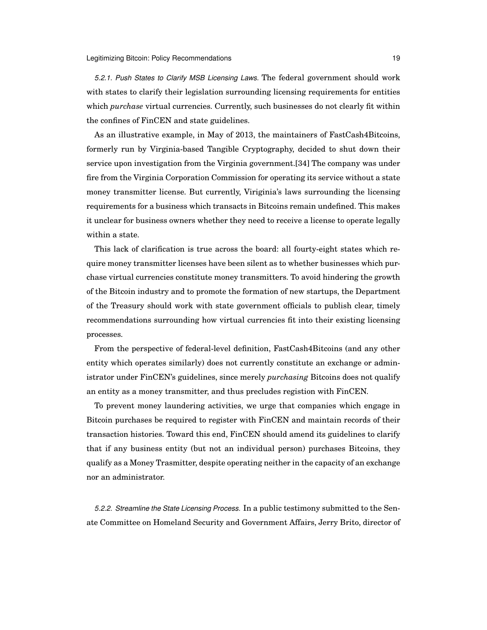<span id="page-18-0"></span>*5.2.1. Push States to Clarify MSB Licensing Laws.* The federal government should work with states to clarify their legislation surrounding licensing requirements for entities which *purchase* virtual currencies. Currently, such businesses do not clearly fit within the confines of FinCEN and state guidelines.

As an illustrative example, in May of 2013, the maintainers of FastCash4Bitcoins, formerly run by Virginia-based Tangible Cryptography, decided to shut down their service upon investigation from the Virginia government.[\[34\]](#page-24-16) The company was under fire from the Virginia Corporation Commission for operating its service without a state money transmitter license. But currently, Viriginia's laws surrounding the licensing requirements for a business which transacts in Bitcoins remain undefined. This makes it unclear for business owners whether they need to receive a license to operate legally within a state.

This lack of clarification is true across the board: all fourty-eight states which require money transmitter licenses have been silent as to whether businesses which purchase virtual currencies constitute money transmitters. To avoid hindering the growth of the Bitcoin industry and to promote the formation of new startups, the Department of the Treasury should work with state government officials to publish clear, timely recommendations surrounding how virtual currencies fit into their existing licensing processes.

From the perspective of federal-level definition, FastCash4Bitcoins (and any other entity which operates similarly) does not currently constitute an exchange or administrator under FinCEN's guidelines, since merely *purchasing* Bitcoins does not qualify an entity as a money transmitter, and thus precludes registion with FinCEN.

To prevent money laundering activities, we urge that companies which engage in Bitcoin purchases be required to register with FinCEN and maintain records of their transaction histories. Toward this end, FinCEN should amend its guidelines to clarify that if any business entity (but not an individual person) purchases Bitcoins, they qualify as a Money Trasmitter, despite operating neither in the capacity of an exchange nor an administrator.

<span id="page-18-1"></span>*5.2.2. Streamline the State Licensing Process.* In a public testimony submitted to the Senate Committee on Homeland Security and Government Affairs, Jerry Brito, director of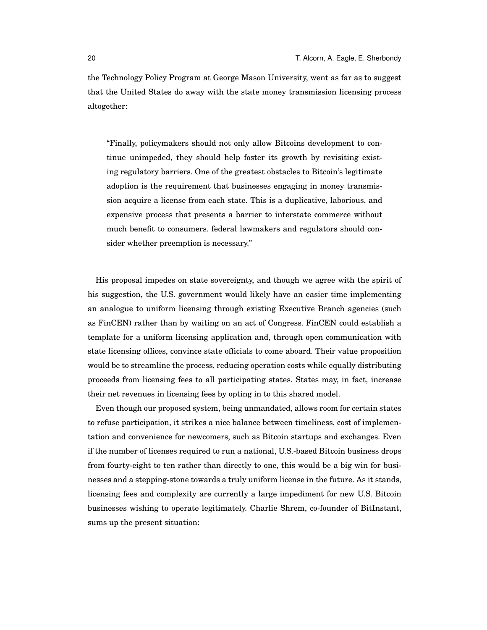the Technology Policy Program at George Mason University, went as far as to suggest that the United States do away with the state money transmission licensing process altogether:

"Finally, policymakers should not only allow Bitcoins development to continue unimpeded, they should help foster its growth by revisiting existing regulatory barriers. One of the greatest obstacles to Bitcoin's legitimate adoption is the requirement that businesses engaging in money transmission acquire a license from each state. This is a duplicative, laborious, and expensive process that presents a barrier to interstate commerce without much benefit to consumers. federal lawmakers and regulators should consider whether preemption is necessary."

His proposal impedes on state sovereignty, and though we agree with the spirit of his suggestion, the U.S. government would likely have an easier time implementing an analogue to uniform licensing through existing Executive Branch agencies (such as FinCEN) rather than by waiting on an act of Congress. FinCEN could establish a template for a uniform licensing application and, through open communication with state licensing offices, convince state officials to come aboard. Their value proposition would be to streamline the process, reducing operation costs while equally distributing proceeds from licensing fees to all participating states. States may, in fact, increase their net revenues in licensing fees by opting in to this shared model.

Even though our proposed system, being unmandated, allows room for certain states to refuse participation, it strikes a nice balance between timeliness, cost of implementation and convenience for newcomers, such as Bitcoin startups and exchanges. Even if the number of licenses required to run a national, U.S.-based Bitcoin business drops from fourty-eight to ten rather than directly to one, this would be a big win for businesses and a stepping-stone towards a truly uniform license in the future. As it stands, licensing fees and complexity are currently a large impediment for new U.S. Bitcoin businesses wishing to operate legitimately. Charlie Shrem, co-founder of BitInstant, sums up the present situation: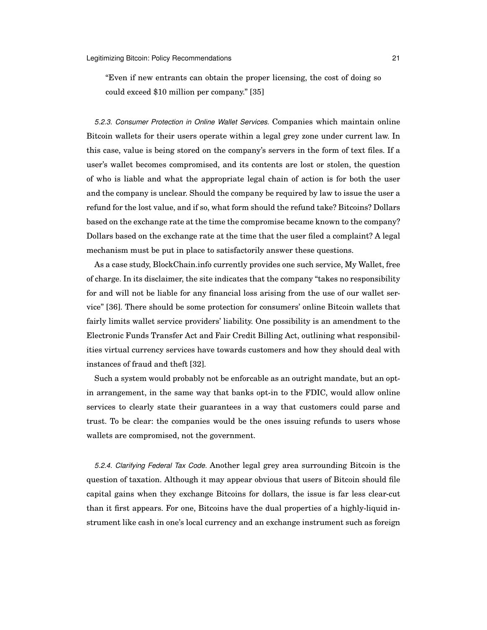"Even if new entrants can obtain the proper licensing, the cost of doing so could exceed \$10 million per company." [\[35\]](#page-24-17)

<span id="page-20-0"></span>*5.2.3. Consumer Protection in Online Wallet Services.* Companies which maintain online Bitcoin wallets for their users operate within a legal grey zone under current law. In this case, value is being stored on the company's servers in the form of text files. If a user's wallet becomes compromised, and its contents are lost or stolen, the question of who is liable and what the appropriate legal chain of action is for both the user and the company is unclear. Should the company be required by law to issue the user a refund for the lost value, and if so, what form should the refund take? Bitcoins? Dollars based on the exchange rate at the time the compromise became known to the company? Dollars based on the exchange rate at the time that the user filed a complaint? A legal mechanism must be put in place to satisfactorily answer these questions.

As a case study, BlockChain.info currently provides one such service, My Wallet, free of charge. In its disclaimer, the site indicates that the company "takes no responsibility for and will not be liable for any financial loss arising from the use of our wallet service" [\[36\]](#page-24-18). There should be some protection for consumers' online Bitcoin wallets that fairly limits wallet service providers' liability. One possibility is an amendment to the Electronic Funds Transfer Act and Fair Credit Billing Act, outlining what responsibilities virtual currency services have towards customers and how they should deal with instances of fraud and theft [\[32\]](#page-24-14).

Such a system would probably not be enforcable as an outright mandate, but an optin arrangement, in the same way that banks opt-in to the FDIC, would allow online services to clearly state their guarantees in a way that customers could parse and trust. To be clear: the companies would be the ones issuing refunds to users whose wallets are compromised, not the government.

<span id="page-20-1"></span>*5.2.4. Clarifying Federal Tax Code.* Another legal grey area surrounding Bitcoin is the question of taxation. Although it may appear obvious that users of Bitcoin should file capital gains when they exchange Bitcoins for dollars, the issue is far less clear-cut than it first appears. For one, Bitcoins have the dual properties of a highly-liquid instrument like cash in one's local currency and an exchange instrument such as foreign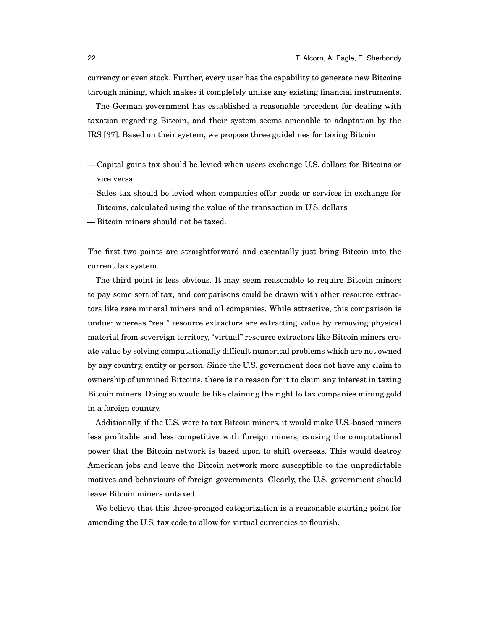currency or even stock. Further, every user has the capability to generate new Bitcoins through mining, which makes it completely unlike any existing financial instruments.

The German government has established a reasonable precedent for dealing with taxation regarding Bitcoin, and their system seems amenable to adaptation by the IRS [\[37\]](#page-24-19). Based on their system, we propose three guidelines for taxing Bitcoin:

- Capital gains tax should be levied when users exchange U.S. dollars for Bitcoins or vice versa.
- Sales tax should be levied when companies offer goods or services in exchange for Bitcoins, calculated using the value of the transaction in U.S. dollars.
- Bitcoin miners should not be taxed.

The first two points are straightforward and essentially just bring Bitcoin into the current tax system.

The third point is less obvious. It may seem reasonable to require Bitcoin miners to pay some sort of tax, and comparisons could be drawn with other resource extractors like rare mineral miners and oil companies. While attractive, this comparison is undue: whereas "real" resource extractors are extracting value by removing physical material from sovereign territory, "virtual" resource extractors like Bitcoin miners create value by solving computationally difficult numerical problems which are not owned by any country, entity or person. Since the U.S. government does not have any claim to ownership of unmined Bitcoins, there is no reason for it to claim any interest in taxing Bitcoin miners. Doing so would be like claiming the right to tax companies mining gold in a foreign country.

Additionally, if the U.S. were to tax Bitcoin miners, it would make U.S.-based miners less profitable and less competitive with foreign miners, causing the computational power that the Bitcoin network is based upon to shift overseas. This would destroy American jobs and leave the Bitcoin network more susceptible to the unpredictable motives and behaviours of foreign governments. Clearly, the U.S. government should leave Bitcoin miners untaxed.

We believe that this three-pronged categorization is a reasonable starting point for amending the U.S. tax code to allow for virtual currencies to flourish.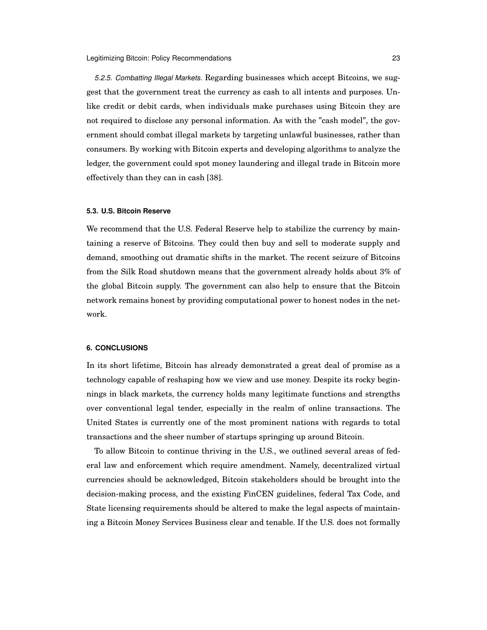<span id="page-22-0"></span>*5.2.5. Combatting Illegal Markets.* Regarding businesses which accept Bitcoins, we suggest that the government treat the currency as cash to all intents and purposes. Unlike credit or debit cards, when individuals make purchases using Bitcoin they are not required to disclose any personal information. As with the "cash model", the government should combat illegal markets by targeting unlawful businesses, rather than consumers. By working with Bitcoin experts and developing algorithms to analyze the ledger, the government could spot money laundering and illegal trade in Bitcoin more effectively than they can in cash [\[38\]](#page-24-20).

## <span id="page-22-1"></span>**5.3. U.S. Bitcoin Reserve**

We recommend that the U.S. Federal Reserve help to stabilize the currency by maintaining a reserve of Bitcoins. They could then buy and sell to moderate supply and demand, smoothing out dramatic shifts in the market. The recent seizure of Bitcoins from the Silk Road shutdown means that the government already holds about 3% of the global Bitcoin supply. The government can also help to ensure that the Bitcoin network remains honest by providing computational power to honest nodes in the network.

## <span id="page-22-2"></span>**6. CONCLUSIONS**

In its short lifetime, Bitcoin has already demonstrated a great deal of promise as a technology capable of reshaping how we view and use money. Despite its rocky beginnings in black markets, the currency holds many legitimate functions and strengths over conventional legal tender, especially in the realm of online transactions. The United States is currently one of the most prominent nations with regards to total transactions and the sheer number of startups springing up around Bitcoin.

To allow Bitcoin to continue thriving in the U.S., we outlined several areas of federal law and enforcement which require amendment. Namely, decentralized virtual currencies should be acknowledged, Bitcoin stakeholders should be brought into the decision-making process, and the existing FinCEN guidelines, federal Tax Code, and State licensing requirements should be altered to make the legal aspects of maintaining a Bitcoin Money Services Business clear and tenable. If the U.S. does not formally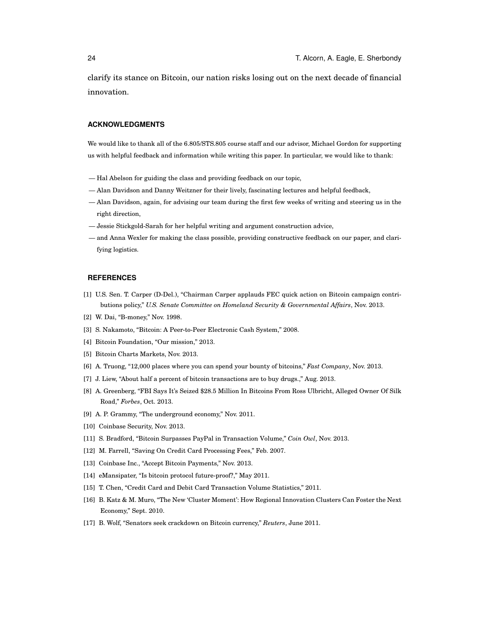clarify its stance on Bitcoin, our nation risks losing out on the next decade of financial innovation.

## **ACKNOWLEDGMENTS**

We would like to thank all of the 6.805/STS.805 course staff and our advisor, Michael Gordon for supporting us with helpful feedback and information while writing this paper. In particular, we would like to thank:

- Hal Abelson for guiding the class and providing feedback on our topic,
- Alan Davidson and Danny Weitzner for their lively, fascinating lectures and helpful feedback,
- Alan Davidson, again, for advising our team during the first few weeks of writing and steering us in the right direction,
- Jessie Stickgold-Sarah for her helpful writing and argument construction advice,
- and Anna Wexler for making the class possible, providing constructive feedback on our paper, and clarifying logistics.

## **REFERENCES**

- <span id="page-23-0"></span>[1] U.S. Sen. T. Carper (D-Del.), "Chairman Carper applauds FEC quick action on Bitcoin campaign contributions policy," *U.S. Senate Committee on Homeland Security & Governmental Affairs*, Nov. 2013.
- <span id="page-23-1"></span>[2] W. Dai, "B-money," Nov. 1998.
- <span id="page-23-2"></span>[3] S. Nakamoto, "Bitcoin: A Peer-to-Peer Electronic Cash System," 2008.
- <span id="page-23-3"></span>[4] Bitcoin Foundation, "Our mission," 2013.
- <span id="page-23-4"></span>[5] Bitcoin Charts Markets, Nov. 2013.
- <span id="page-23-5"></span>[6] A. Truong, "12,000 places where you can spend your bounty of bitcoins," *Fast Company*, Nov. 2013.
- <span id="page-23-6"></span>[7] J. Liew, "About half a percent of bitcoin transactions are to buy drugs.," Aug. 2013.
- <span id="page-23-7"></span>[8] A. Greenberg, "FBI Says It's Seized \$28.5 Million In Bitcoins From Ross Ulbricht, Alleged Owner Of Silk Road," *Forbes*, Oct. 2013.
- <span id="page-23-8"></span>[9] A. P. Grammy, "The underground economy," Nov. 2011.
- <span id="page-23-9"></span>[10] Coinbase Security, Nov. 2013.
- <span id="page-23-10"></span>[11] S. Bradford, "Bitcoin Surpasses PayPal in Transaction Volume," *Coin Owl*, Nov. 2013.
- <span id="page-23-11"></span>[12] M. Farrell, "Saving On Credit Card Processing Fees," Feb. 2007.
- <span id="page-23-12"></span>[13] Coinbase Inc., "Accept Bitcoin Payments," Nov. 2013.
- <span id="page-23-13"></span>[14] eMansipater, "Is bitcoin protocol future-proof?," May 2011.
- <span id="page-23-14"></span>[15] T. Chen, "Credit Card and Debit Card Transaction Volume Statistics," 2011.
- <span id="page-23-15"></span>[16] B. Katz & M. Muro, "The New 'Cluster Moment': How Regional Innovation Clusters Can Foster the Next Economy," Sept. 2010.
- <span id="page-23-16"></span>[17] B. Wolf, "Senators seek crackdown on Bitcoin currency," *Reuters*, June 2011.